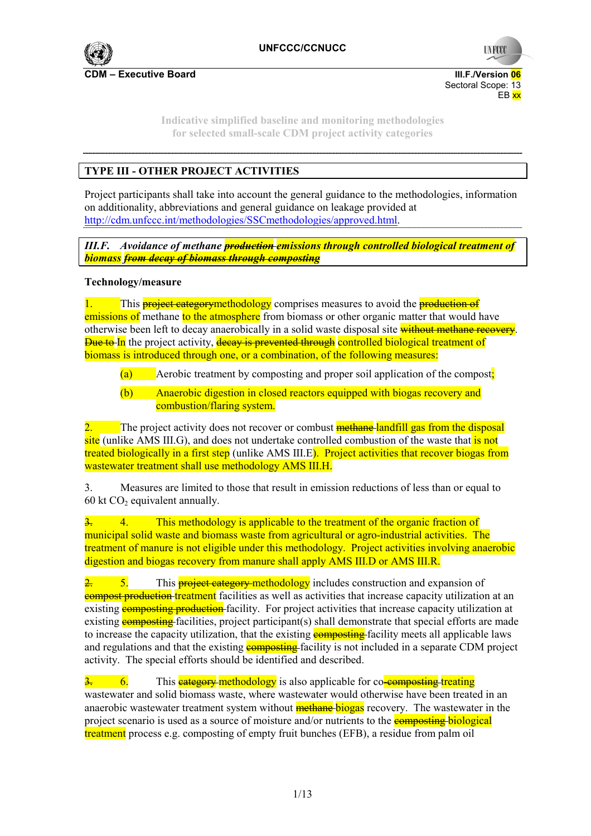

Sectoral Scope: 13<br>EB xx en de la provincia de la provincia de la provincia de la provincia de la provincia de la provincia de la provi

> **Indicative simplified baseline and monitoring methodologies for selected small-scale CDM project activity categories**

# **TYPE III - OTHER PROJECT ACTIVITIES**

Project participants shall take into account the general guidance to the methodologies, information on additionality, abbreviations and general guidance on leakage provided at http://cdm.unfccc.int/methodologies/SSCmethodologies/approved.html.

*III.F. Avoidance of methane production emissions through controlled biological treatment of biomass from decay of biomass through composting* 

### **Technology/measure**

1. This **project categorymethodology** comprises measures to avoid the **production of** emissions of methane to the atmosphere from biomass or other organic matter that would have otherwise been left to decay anaerobically in a solid waste disposal site without methane recovery. **Due to In** the project activity, **decay is prevented through controlled biological treatment of** biomass is introduced through one, or a combination, of the following measures:

- $(a)$  Aerobic treatment by composting and proper soil application of the compost;
- (b) Anaerobic digestion in closed reactors equipped with biogas recovery and combustion/flaring system.

2. The project activity does not recover or combust **methane** landfill gas from the disposal site (unlike AMS III.G), and does not undertake controlled combustion of the waste that is not treated biologically in a first step (unlike AMS III.E). Project activities that recover biogas from wastewater treatment shall use methodology AMS III.H.

3. Measures are limited to those that result in emission reductions of less than or equal to 60 kt  $CO<sub>2</sub>$  equivalent annually.

3. 4. This methodology is applicable to the treatment of the organic fraction of municipal solid waste and biomass waste from agricultural or agro-industrial activities. The treatment of manure is not eligible under this methodology. Project activities involving anaerobic digestion and biogas recovery from manure shall apply AMS III.D or AMS III.R.

 $\overline{2}$ . This **project category methodology** includes construction and expansion of **compost production** treatment facilities as well as activities that increase capacity utilization at an existing **composting production** facility. For project activities that increase capacity utilization at existing **composting** facilities, project participant(s) shall demonstrate that special efforts are made to increase the capacity utilization, that the existing **composting** facility meets all applicable laws and regulations and that the existing **composting** facility is not included in a separate CDM project activity. The special efforts should be identified and described.

 $\frac{3}{2}$  6. This **eategory methodology** is also applicable for co-composting treating wastewater and solid biomass waste, where wastewater would otherwise have been treated in an anaerobic wastewater treatment system without **methane** biogas recovery. The wastewater in the project scenario is used as a source of moisture and/or nutrients to the **composting biological** treatment process e.g. composting of empty fruit bunches (EFB), a residue from palm oil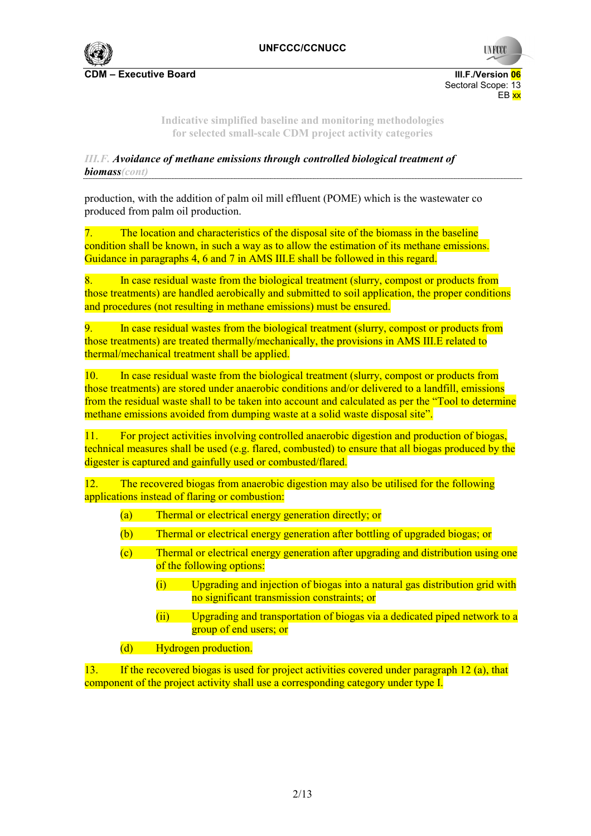

Sectoral Scope: 13<br>EB xx en de la provincia de la provincia de la provincia de la provincia de la provincia de la provincia de la provi

> **Indicative simplified baseline and monitoring methodologies for selected small-scale CDM project activity categories**

# *III.F. Avoidance of methane emissions through controlled biological treatment of biomass(cont)*

production, with the addition of palm oil mill effluent (POME) which is the wastewater co produced from palm oil production.

7. The location and characteristics of the disposal site of the biomass in the baseline condition shall be known, in such a way as to allow the estimation of its methane emissions. Guidance in paragraphs 4, 6 and 7 in AMS III.E shall be followed in this regard.

8. In case residual waste from the biological treatment (slurry, compost or products from those treatments) are handled aerobically and submitted to soil application, the proper conditions and procedures (not resulting in methane emissions) must be ensured.

In case residual wastes from the biological treatment (slurry, compost or products from those treatments) are treated thermally/mechanically, the provisions in AMS III.E related to thermal/mechanical treatment shall be applied.

10. In case residual waste from the biological treatment (slurry, compost or products from those treatments) are stored under anaerobic conditions and/or delivered to a landfill, emissions from the residual waste shall to be taken into account and calculated as per the "Tool to determine methane emissions avoided from dumping waste at a solid waste disposal site".

11. For project activities involving controlled anaerobic digestion and production of biogas, technical measures shall be used (e.g. flared, combusted) to ensure that all biogas produced by the digester is captured and gainfully used or combusted/flared.

12. The recovered biogas from anaerobic digestion may also be utilised for the following applications instead of flaring or combustion:

- (a) Thermal or electrical energy generation directly; or
- (b) Thermal or electrical energy generation after bottling of upgraded biogas; or
- (c) Thermal or electrical energy generation after upgrading and distribution using one of the following options:
	- (i) Upgrading and injection of biogas into a natural gas distribution grid with no significant transmission constraints; or
	- (ii) Upgrading and transportation of biogas via a dedicated piped network to a group of end users; or
- (d) Hydrogen production.

13. If the recovered biogas is used for project activities covered under paragraph 12 (a), that component of the project activity shall use a corresponding category under type I.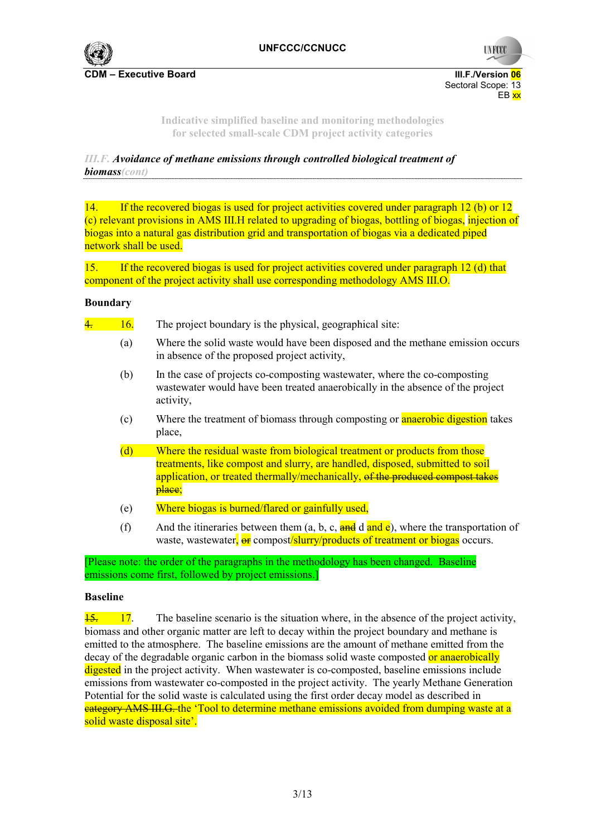

Sectoral Scope: 13<br>EB xx en de la provincia de la provincia de la provincia de la provincia de la provincia de la provincia de la provi

> **Indicative simplified baseline and monitoring methodologies for selected small-scale CDM project activity categories**

*III.F. Avoidance of methane emissions through controlled biological treatment of biomass(cont)* 

14. If the recovered biogas is used for project activities covered under paragraph 12 (b) or 12 (c) relevant provisions in AMS III.H related to upgrading of biogas, bottling of biogas, injection of biogas into a natural gas distribution grid and transportation of biogas via a dedicated piped network shall be used.

15. If the recovered biogas is used for project activities covered under paragraph 12 (d) that component of the project activity shall use corresponding methodology AMS III.O.

#### **Boundary**

 $\frac{4}{16}$  The project boundary is the physical, geographical site:

- (a) Where the solid waste would have been disposed and the methane emission occurs in absence of the proposed project activity,
- (b) In the case of projects co-composting wastewater, where the co-composting wastewater would have been treated anaerobically in the absence of the project activity,
- (c) Where the treatment of biomass through composting or **anaerobic digestion** takes place,
- (d) Where the residual waste from biological treatment or products from those treatments, like compost and slurry, are handled, disposed, submitted to soil application, or treated thermally/mechanically, of the produced compost takes place;
- (e) Where biogas is burned/flared or gainfully used,
- (f) And the itineraries between them (a, b, c,  $\frac{\text{and}}{\text{and}}$  d and  $\frac{\text{e}}{\text{e}}$ ), where the transportation of waste, wastewater,  $\frac{1}{x}$  compost/slurry/products of treatment or biogas occurs.

[Please note: the order of the paragraphs in the methodology has been changed. Baseline emissions come first, followed by project emissions.]

#### **Baseline**

 $\frac{15.}{15.}$  17. The baseline scenario is the situation where, in the absence of the project activity, biomass and other organic matter are left to decay within the project boundary and methane is emitted to the atmosphere. The baseline emissions are the amount of methane emitted from the decay of the degradable organic carbon in the biomass solid waste composted or anaerobically digested in the project activity. When wastewater is co-composted, baseline emissions include emissions from wastewater co-composted in the project activity. The yearly Methane Generation Potential for the solid waste is calculated using the first order decay model as described in category AMS III.G. the 'Tool to determine methane emissions avoided from dumping waste at a solid waste disposal site'.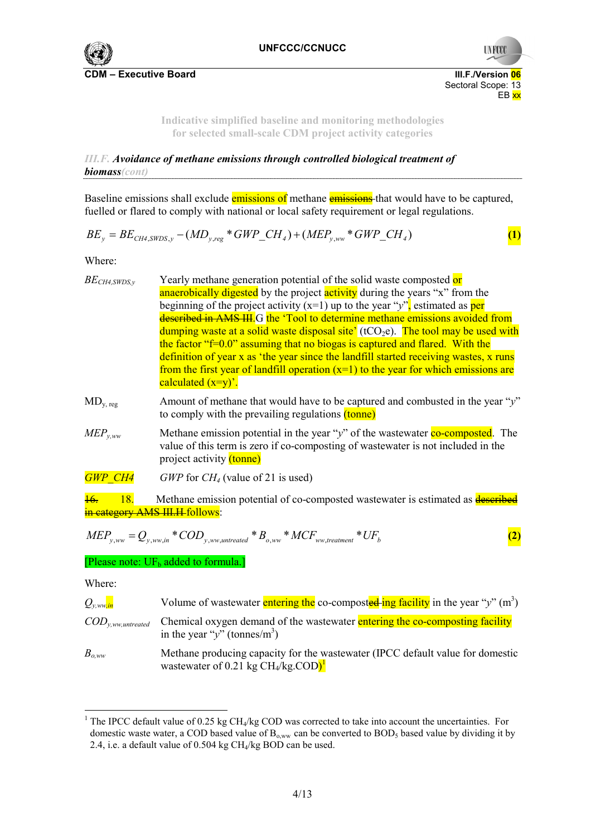

Sectoral Scope: 13<br>EB xx

**Indicative simplified baseline and monitoring methodologies for selected small-scale CDM project activity categories** 

en de la provincia de la provincia de la provincia de la provincia de la provincia de la provincia de la provi

*III.F. Avoidance of methane emissions through controlled biological treatment of biomass(cont)*  

Baseline emissions shall exclude emissions of methane emissions that would have to be captured, fuelled or flared to comply with national or local safety requirement or legal regulations.

$$
BE_{y} = BE_{CH4,SWDS,y} - (MD_{y,reg} * GWP\_CH_{4}) + (MEP_{y,ww} * GWP\_CH_{4})
$$
 (1)

Where:

| $BE_{CH4,SWDS,y}$ | Yearly methane generation potential of the solid waste composted or                                                                                                                                                |
|-------------------|--------------------------------------------------------------------------------------------------------------------------------------------------------------------------------------------------------------------|
|                   | anaerobically digested by the project activity during the years "x" from the                                                                                                                                       |
|                   | beginning of the project activity $(x=1)$ up to the year "y", estimated as per                                                                                                                                     |
|                   | described in AMS III. G the 'Tool to determine methane emissions avoided from                                                                                                                                      |
|                   | dumping waste at a solid waste disposal site' ( $tCO_2e$ ). The tool may be used with                                                                                                                              |
|                   | the factor " $f=0.0$ " assuming that no biogas is captured and flared. With the                                                                                                                                    |
|                   | definition of year x as 'the year since the landfill started receiving wastes, x runs                                                                                                                              |
|                   | from the first year of landfill operation $(x=1)$ to the year for which emissions are                                                                                                                              |
|                   | calculated $(x=y)$ .                                                                                                                                                                                               |
| $MD_{y, reg}$     | Amount of methane that would have to be captured and combusted in the year "y"<br>to comply with the prevailing regulations (tonne)                                                                                |
| $MEP_{v,ww}$      | Methane emission potential in the year "y" of the wastewater $\frac{1}{\alpha}$ co-composted. The<br>value of this term is zero if co-composting of was tewater is not included in the<br>project activity (tonne) |
| <b>GWP CH4</b>    | <i>GWP</i> for $CH4$ (value of 21 is used)                                                                                                                                                                         |
| 18.               | Methane emission potential of co-composted wastewater is estimated as <b>described</b>                                                                                                                             |
|                   | in category AMS III.H follows:                                                                                                                                                                                     |
|                   |                                                                                                                                                                                                                    |

$$
MEP_{y,ww} = Q_{y,ww,in} * COD_{y,ww,untreated} * B_{o,ww} * MCF_{ww,treatment} * UF_b
$$
 (2)

[Please note:  $UF_b$  added to formula.]

Where:

 $\overline{a}$ 

| $Q_{v,ww,in}$                   | Volume of wastewater entering the co-composted ing facility in the year "y" $(m^3)$                                                    |
|---------------------------------|----------------------------------------------------------------------------------------------------------------------------------------|
| $\mathit{COD}_{y,ww,untreated}$ | Chemical oxygen demand of the wastewater entering the co-composting facility<br>in the year "y" (tonnes/m <sup>3</sup> )               |
| $B_{o,ww}$                      | Methane producing capacity for the wastewater (IPCC default value for domestic<br>wastewater of 0.21 kg $CH_4/kg$ . $COD$ <sup>1</sup> |

<sup>&</sup>lt;sup>1</sup> The IPCC default value of 0.25 kg CH<sub>4</sub>/kg COD was corrected to take into account the uncertainties. For domestic waste water, a COD based value of  $B_{o,ww}$  can be converted to  $BOD<sub>5</sub>$  based value by dividing it by 2.4, i.e. a default value of 0.504 kg CH4/kg BOD can be used.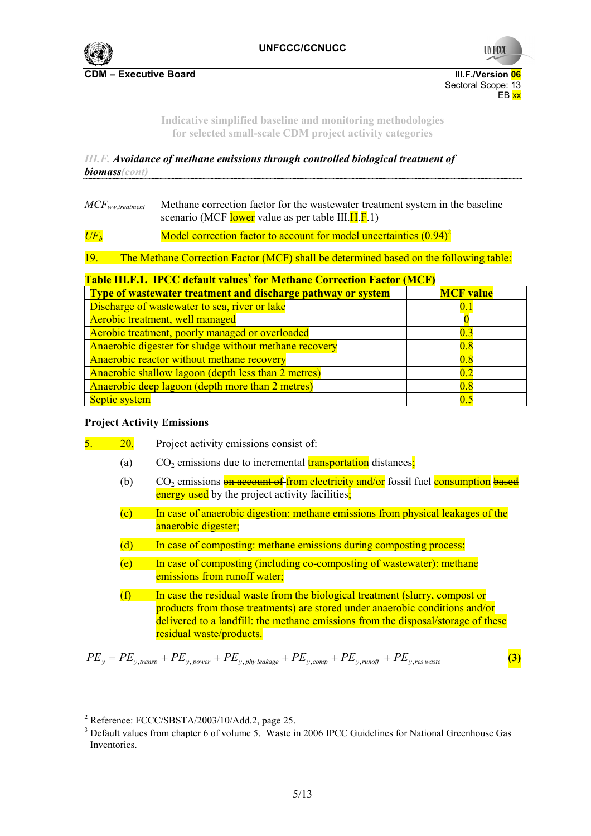

**C**DM – Executive Board III.F./Version <mark>06</mark> Sectoral Scope: 13<br>EB xx en de la provincia de la provincia de la provincia de la provincia de la provincia de la provincia de la provi

> **Indicative simplified baseline and monitoring methodologies for selected small-scale CDM project activity categories**

*III.F. Avoidance of methane emissions through controlled biological treatment of biomass(cont)* 

*MCFww,treatment* Methane correction factor for the wastewater treatment system in the baseline scenario (MCF  $\frac{lower}{10}$  value as per table III. $\frac{1}{n}$ .F.1)

 $U\llbracket F_h$  Model correction factor to account for model uncertainties (0.94)<sup>2</sup>

19. The Methane Correction Factor (MCF) shall be determined based on the following table:

### **Table III.F.1. IPCC default values<sup>3</sup> for Methane Correction Factor (MCF)**

| <b>Type of wastewater treatment and discharge pathway or system</b> | <b>MCF</b> value |
|---------------------------------------------------------------------|------------------|
| Discharge of wastewater to sea, river or lake                       | 0.1              |
| Aerobic treatment, well managed                                     |                  |
| Aerobic treatment, poorly managed or overloaded                     | 0.3              |
| Anaerobic digester for sludge without methane recovery              | 0.8              |
| Anaerobic reactor without methane recovery                          | 0.8              |
| Anaerobic shallow lagoon (depth less than 2 metres)<br>02           |                  |
| Anaerobic deep lagoon (depth more than 2 metres)                    | 0.8              |
| 0.5<br>Septic system                                                |                  |

#### **Project Activity Emissions**

- 20. Project activity emissions consist of:
	- (a)  $CO<sub>2</sub>$  emissions due to incremental **transportation** distances:
	- (b)  $CO_2$  emissions  $\frac{1}{\theta}$  account of from electricity and/or fossil fuel consumption based **energy used** by the project activity facilities;
	- (c) In case of anaerobic digestion: methane emissions from physical leakages of the anaerobic digester;
	- (d) In case of composting: methane emissions during composting process;
	- (e) In case of composting (including co-composting of wastewater): methane emissions from runoff water;
	- $(f)$  In case the residual waste from the biological treatment (slurry, compost or products from those treatments) are stored under anaerobic conditions and/or delivered to a landfill: the methane emissions from the disposal/storage of these residual waste/products.

$$
PE_y = PE_{y, transport} + PE_{y, power} + PE_{y, phy\} \times (3)
$$

<sup>&</sup>lt;sup>2</sup> Reference: FCCC/SBSTA/2003/10/Add.2, page 25.<br><sup>3</sup> Defeult values from abouter 6 of valume 5. Weste it

<sup>&</sup>lt;sup>3</sup> Default values from chapter 6 of volume 5. Waste in 2006 IPCC Guidelines for National Greenhouse Gas Inventories.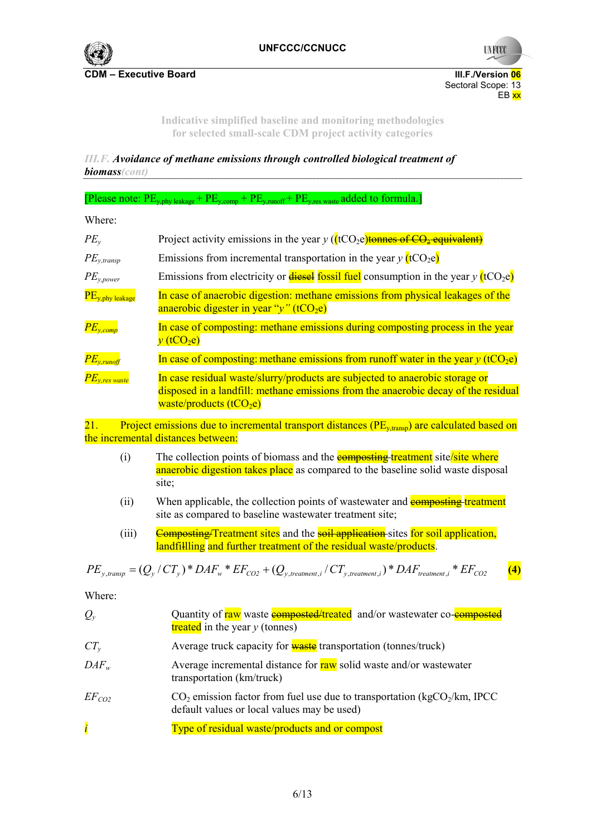

Sectoral Scope: 13<br>EB xx en de la provincia de la provincia de la provincia de la provincia de la provincia de la provincia de la provi

> **Indicative simplified baseline and monitoring methodologies for selected small-scale CDM project activity categories**

*III.F. Avoidance of methane emissions through controlled biological treatment of biomass(cont)*  

[Please note:  $PE_{v,phv}$  leakage +  $PE_{v,comp}$  +  $PE_{v,runoff}$  +  $PE_{v,res}$  waste added to formula.]

Where:

| $PE_{v}$                      | Project activity emissions in the year $y$ ( $(tCO_2e)$ )tonnes of $CO_2$ -equivalent)                                                                                                         |
|-------------------------------|------------------------------------------------------------------------------------------------------------------------------------------------------------------------------------------------|
| $PE_{y, transp}$              | Emissions from incremental transportation in the year $y$ (tCO <sub>2</sub> e)                                                                                                                 |
| $PE_{y, power}$               | Emissions from electricity or <b>diesel</b> fossil fuel consumption in the year $v$ (tCO <sub>2</sub> e)                                                                                       |
| $PE_{y, phy}$ leakage         | In case of anaerobic digestion: methane emissions from physical leakages of the<br>anaerobic digester in year " $y$ " (tCO <sub>2</sub> e)                                                     |
| $PE_{y,comp}$                 | In case of composting: methane emissions during composting process in the year<br>$v$ (tCO <sub>2</sub> e)                                                                                     |
| $PE_{y, runoff}$              | In case of composting: methane emissions from runoff water in the year $y$ (tCO <sub>2</sub> e)                                                                                                |
| $\overline{PE}_{y,res}$ waste | In case residual waste/slurry/products are subjected to anaerobic storage or<br>disposed in a landfill: methane emissions from the anaerobic decay of the residual<br>waste/products $(tCO2e)$ |

21. Project emissions due to incremental transport distances ( $PE_{v, transp}$ ) are calculated based on the incremental distances between:

- (i) The collection points of biomass and the **composting treatment** site/site where anaerobic digestion takes place as compared to the baseline solid waste disposal site;
- (ii) When applicable, the collection points of wastewater and **composting treatment** site as compared to baseline wastewater treatment site;
- (iii) Composting/Treatment sites and the soil application sites for soil application, landfilling and further treatment of the residual waste/products.

$$
PE_{y,transp} = (Q_y / CT_y) * DAF_w * EF_{CO2} + (Q_{y, treatment,i} / CT_{y, treatment,i}) * DAF_{treatment,i} * EF_{CO2}
$$
 (4)

Where:

| $Q_{y}$          | Quantity of raw waste <b>composted/treated</b> and/or wastewater co- <b>composted</b><br>treated in the year $y$ (tonnes)             |
|------------------|---------------------------------------------------------------------------------------------------------------------------------------|
| $CT_{v}$         | Average truck capacity for <b>waste</b> transportation (tonnes/truck)                                                                 |
| $DAF_w$          | Average incremental distance for raw solid waste and/or wastewater<br>transportation (km/truck)                                       |
| $EF_{CO2}$       | $CO2$ emission factor from fuel use due to transportation (kgCO <sub>2</sub> /km, IPCC<br>default values or local values may be used) |
| $\boldsymbol{i}$ | Type of residual waste/products and or compost                                                                                        |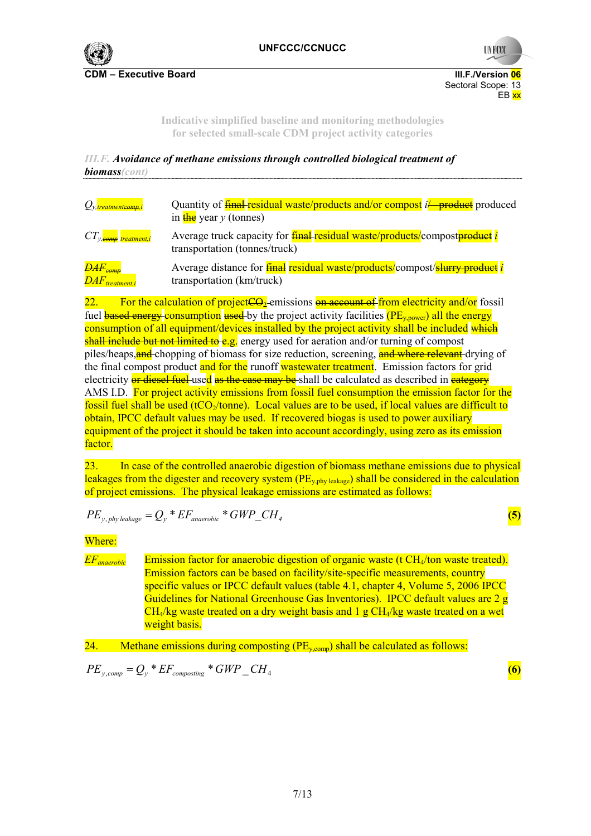

**CDM – Executive Board III.F./Version 06** Sectoral Scope: 13<br>EB xx en de la provincia de la provincia de la provincia de la provincia de la provincia de la provincia de la provi

> **Indicative simplified baseline and monitoring methodologies for selected small-scale CDM project activity categories**

*III.F. Avoidance of methane emissions through controlled biological treatment of biomass(cont)* 

| $Q_{v}$ treatment <del>comp</del> , i                     | Quantity of <b>final</b> residual waste/products and/or compost il product produced<br>in $\frac{\text{the}}{\text{the}}$ year y (tonnes) |
|-----------------------------------------------------------|-------------------------------------------------------------------------------------------------------------------------------------------|
| $CT_{y,\textit{comp}}$ treatment,i                        | Average truck capacity for <b>final residual waste/products/compost<del>product</del> i</b><br>transportation (tonnes/truck)              |
| $\overline{DAF}_{comp}$<br>$\overline{DAF}_{treatment,i}$ | Average distance for <b>final residual waste/products/compost/slurry product i</b><br>transportation (km/truck)                           |

22. For the calculation of project  $\Theta_2$ -emissions **on account of from electricity and/or** fossil fuel **based energy** consumption used by the project activity facilities (PE<sub>y power</sub>) all the energy consumption of all equipment/devices installed by the project activity shall be included which shall include but not limited to e.g. energy used for aeration and/or turning of compost piles/heaps, **and** chopping of biomass for size reduction, screening, **and where relevant** drying of the final compost product and for the runoff wastewater treatment. Emission factors for grid electricity or diesel fuel-used as the case may be shall be calculated as described in eategory AMS I.D. For project activity emissions from fossil fuel consumption the emission factor for the fossil fuel shall be used (tCO<sub>2</sub>/tonne). Local values are to be used, if local values are difficult to obtain, IPCC default values may be used. If recovered biogas is used to power auxiliary equipment of the project it should be taken into account accordingly, using zero as its emission factor.

23. In case of the controlled anaerobic digestion of biomass methane emissions due to physical leakages from the digester and recovery system ( $PE_{\text{v}phv}$  leakage) shall be considered in the calculation of project emissions. The physical leakage emissions are estimated as follows:

$$
PE_{y, \, \text{phy leakage}} = Q_y \cdot E_{\text{anacrobic}} \cdot GWP\_CH_4 \tag{5}
$$

Where:

*EF<sub>anaerobic* Emission factor for anaerobic digestion of organic waste (t CH<sub>4</sub>/ton waste treated).</sub> Emission factors can be based on facility/site-specific measurements, country specific values or IPCC default values (table 4.1, chapter 4, Volume 5, 2006 IPCC Guidelines for National Greenhouse Gas Inventories). IPCC default values are 2 g  $CH<sub>4</sub>/kg$  waste treated on a dry weight basis and 1 g  $CH<sub>4</sub>/kg$  waste treated on a wet weight basis.

24. Methane emissions during composting  $(PE_{y, comp})$  shall be calculated as follows:

$$
PE_{y, comp} = Q_y * EF_{composing} * GWP\_CH_4
$$
 (6)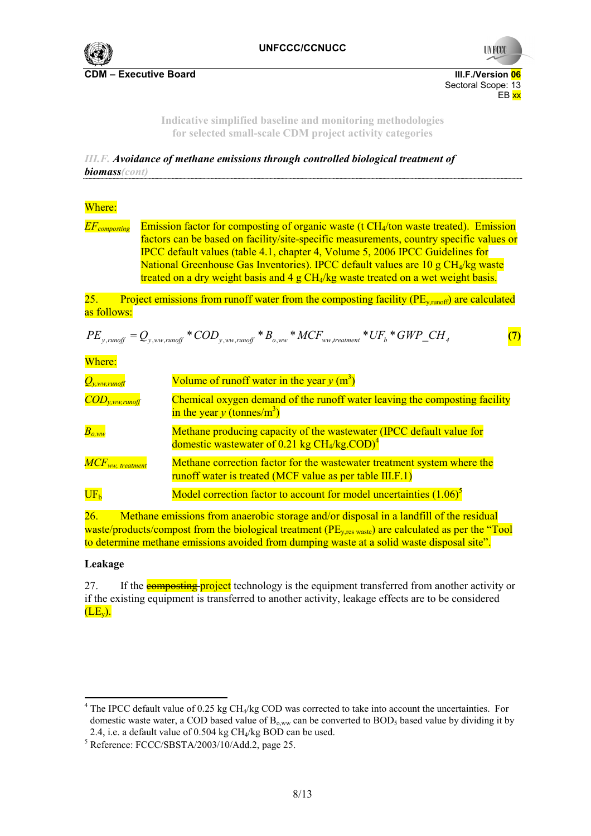

Sectoral Scope: 13<br>EB xx en de la provincia de la provincia de la provincia de la provincia de la provincia de la provincia de la provi

> **Indicative simplified baseline and monitoring methodologies for selected small-scale CDM project activity categories**

*III.F. Avoidance of methane emissions through controlled biological treatment of biomass(cont)* 

## Where:

*EFcomposting* Emission factor for composting of organic waste (t CH4/ton waste treated). Emission factors can be based on facility/site-specific measurements, country specific values or IPCC default values (table 4.1, chapter 4, Volume 5, 2006 IPCC Guidelines for National Greenhouse Gas Inventories). IPCC default values are 10 g CH4/kg waste treated on a dry weight basis and 4 g  $CH<sub>4</sub>/kg$  waste treated on a wet weight basis.

25. Project emissions from runoff water from the composting facility ( $PE_{v, runoff}$ ) are calculated as follows:

$$
PE_{y, \text{runoff}} = Q_{y, \text{ww,runoff}} * COD_{y, \text{ww,runoff}} * B_{o, \text{ww}} * MCF_{ww, \text{treatment}} * UF_b * GWP\_CH_4
$$
 (7)

Where:

| $Q_{y,ww,runoff}$              | Volume of runoff water in the year $y(m^3)$                                                                                         |
|--------------------------------|-------------------------------------------------------------------------------------------------------------------------------------|
| $\overline{COD}_{y,ww,runoff}$ | Chemical oxygen demand of the runoff water leaving the composting facility<br>in the year y (tonnes/m <sup>3</sup> )                |
| $B_{o,ww}$                     | Methane producing capacity of the wastewater (IPCC default value for<br>domestic wastewater of 0.21 kg $CH4/kg$ . $COD)4$           |
| $MCF_{ww, \ treatment}$        | Methane correction factor for the wastewater treatment system where the<br>runoff water is treated (MCF value as per table III.F.1) |
| UF <sub>h</sub>                | Model correction factor to account for model uncertainties $(1.06)^5$                                                               |

26. Methane emissions from anaerobic storage and/or disposal in a landfill of the residual waste/products/compost from the biological treatment (PE<sub>y res waste</sub>) are calculated as per the "Tool to determine methane emissions avoided from dumping waste at a solid waste disposal site".

# **Leakage**

 $\overline{a}$ 

27. If the **composting project** technology is the equipment transferred from another activity or if the existing equipment is transferred to another activity, leakage effects are to be considered  $(LE<sub>v</sub>)$ .

 $4$  The IPCC default value of 0.25 kg CH<sub>4</sub>/kg COD was corrected to take into account the uncertainties. For domestic waste water, a COD based value of  $B_{o,ww}$  can be converted to BOD<sub>5</sub> based value by dividing it by 2.4, i.e. a default value of 0.504 kg  $CH<sub>4</sub>/kg BOD$  can be used.

 $5$  Reference: FCCC/SBSTA/2003/10/Add.2, page 25.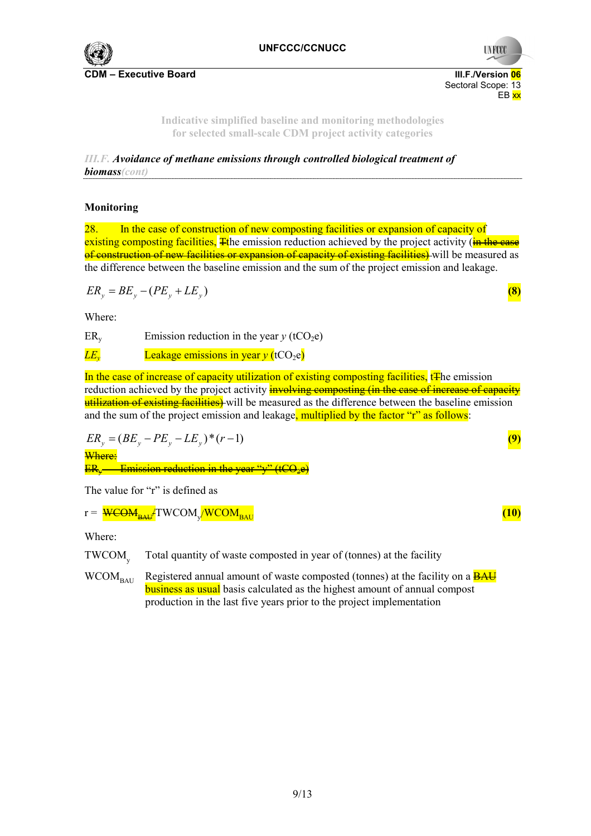

Sectoral Scope: 13<br>EB xx en de la provincia de la provincia de la provincia de la provincia de la provincia de la provincia de la provi

> **Indicative simplified baseline and monitoring methodologies for selected small-scale CDM project activity categories**

*III.F. Avoidance of methane emissions through controlled biological treatment of biomass(cont)* 

## **Monitoring**

28. In the case of construction of new composting facilities or expansion of capacity of existing composting facilities. The emission reduction achieved by the project activity ( $\frac{1}{n}$  the case of construction of new facilities or expansion of capacity of existing facilities) will be measured as the difference between the baseline emission and the sum of the project emission and leakage.

$$
ER_y = BE_y - (PE_y + LE_y) \tag{8}
$$

Where:

 $ER<sub>v</sub>$  Emission reduction in the year *y* (tCO<sub>2</sub>e)

 $LE<sub>v</sub>$  Leakage emissions in year  $v$  (tCO<sub>2</sub>e)

In the case of increase of capacity utilization of existing composting facilities, t<sub>T</sub>he emission reduction achieved by the project activity **involving composting (in the case of increase of capacity** utilization of existing facilities) will be measured as the difference between the baseline emission and the sum of the project emission and leakage, multiplied by the factor "r" as follows:

$$
ER_y = (BE_y - PE_y - LE_y)^*(r-1)
$$
  
\nWhere:  
\n
$$
ER_y
$$
 EIR<sub>y</sub> - Emission reduction in the year " $y$ " (tCQ<sub>2</sub>e)

The value for "r" is defined as

$$
r = \frac{\text{WCOM}_{BAU}}{\text{TWCOM}_{BAU}} \tag{10}
$$

Where:

TWCOM Total quantity of waste composted in year of (tonnes) at the facility

 $WCOM_{\text{RAIL}}$  Registered annual amount of waste composted (tonnes) at the facility on a  $\overline{BAU}$ business as usual basis calculated as the highest amount of annual compost production in the last five years prior to the project implementation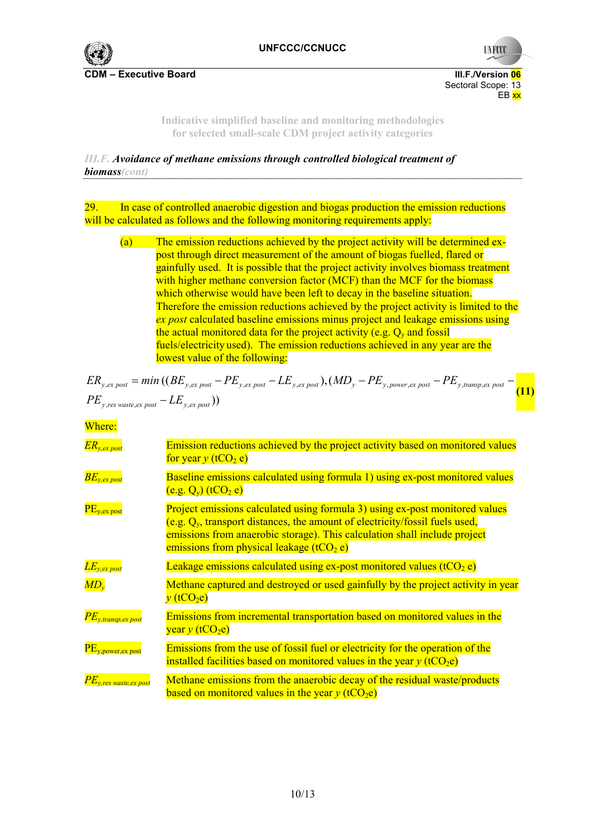

Sectoral Scope: 13<br>EB xx en de la provincia de la provincia de la provincia de la provincia de la provincia de la provincia de la provi

> **Indicative simplified baseline and monitoring methodologies for selected small-scale CDM project activity categories**

*III.F. Avoidance of methane emissions through controlled biological treatment of biomass(cont)* 

29. In case of controlled anaerobic digestion and biogas production the emission reductions will be calculated as follows and the following monitoring requirements apply:

(a) The emission reductions achieved by the project activity will be determined expost through direct measurement of the amount of biogas fuelled, flared or gainfully used. It is possible that the project activity involves biomass treatment with higher methane conversion factor (MCF) than the MCF for the biomass which otherwise would have been left to decay in the baseline situation. Therefore the emission reductions achieved by the project activity is limited to the *ex post* calculated baseline emissions minus project and leakage emissions using the actual monitored data for the project activity (e.g.  $O_y$  and fossil fuels/electricity used). The emission reductions achieved in any year are the lowest value of the following:

$$
ER_{y,ex\ post} = min ((BE_{y,ex\ post} - PE_{y,ex\ post} - LE_{y,ex\ post}), (MD_y - PE_{y,power,ex\ post} - PE_{y,transp,ex\ post} - \boxed{(11)}
$$

$$
PE_{y,res\ waste,ex\ post} - LE_{y,ex\ post})
$$

Where:

| $ER_{y,ex\ post}$            | Emission reductions achieved by the project activity based on monitored values<br>for year y (tCO <sub>2</sub> e)                                                                                                                                                                           |
|------------------------------|---------------------------------------------------------------------------------------------------------------------------------------------------------------------------------------------------------------------------------------------------------------------------------------------|
| $\overline{BE_{y,ex\,post}}$ | Baseline emissions calculated using formula 1) using ex-post monitored values<br>$(e.g. Qv)$ (tCO <sub>2</sub> e)                                                                                                                                                                           |
| $PE_{v,ex\,post}$            | Project emissions calculated using formula 3) using ex-post monitored values<br>(e.g. $Q_v$ , transport distances, the amount of electricity/fossil fuels used,<br>emissions from anaerobic storage). This calculation shall include project<br>emissions from physical leakage ( $tCO2$ e) |
| $LE_{y,ex\ post}$            | Leakage emissions calculated using ex-post monitored values $(tCO_2 e)$                                                                                                                                                                                                                     |
| $MD_{v}$                     | Methane captured and destroyed or used gainfully by the project activity in year<br>$v$ (tCO <sub>2</sub> e)                                                                                                                                                                                |
| $PE_{y,transp,ex\ post}$     | Emissions from incremental transportation based on monitored values in the<br>year y (tCO <sub>2</sub> e)                                                                                                                                                                                   |
| $PE_{y, power, ex, post}$    | Emissions from the use of fossil fuel or electricity for the operation of the<br>installed facilities based on monitored values in the year $y$ (tCO <sub>2</sub> e)                                                                                                                        |
| $PE_{v, res}$ waste, ex post | Methane emissions from the anaerobic decay of the residual waste/products<br>based on monitored values in the year $y$ (tCO <sub>2</sub> e)                                                                                                                                                 |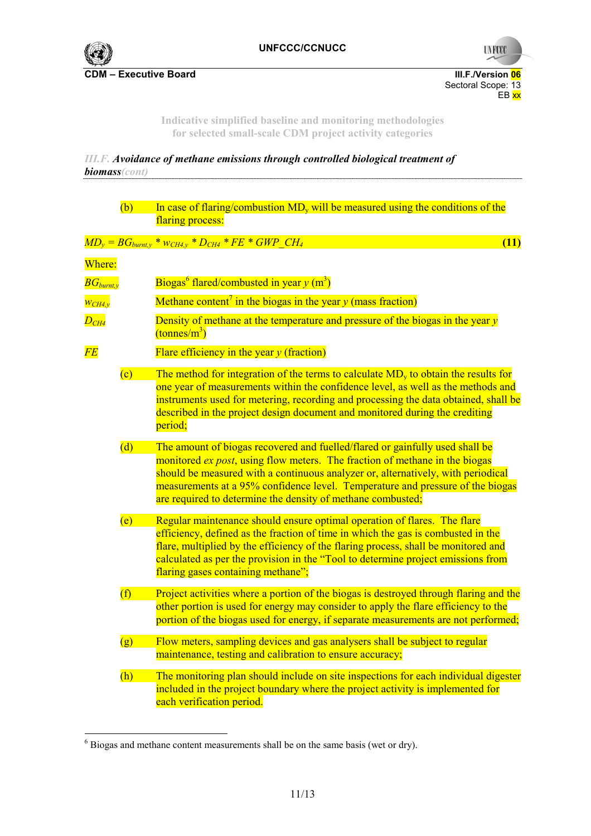

Sectoral Scope: 13 en de la provincia de la provincia de la provincia de la provincia de la provincia de la provincia de la provi

> **Indicative simplified baseline and monitoring methodologies for selected small-scale CDM project activity categories**

*III.F. Avoidance of methane emissions through controlled biological treatment of biomass(cont)*  

|                           | (b)            | In case of flaring/combustion $MD_v$ will be measured using the conditions of the<br>flaring process:                                                                                                                                                                                                                                                                                            |
|---------------------------|----------------|--------------------------------------------------------------------------------------------------------------------------------------------------------------------------------------------------------------------------------------------------------------------------------------------------------------------------------------------------------------------------------------------------|
|                           |                | $MD_y = BG_{burnt,y} * w_{CH4,y} * D_{CH4} * FE * GWP\_CH_4$<br>(11)                                                                                                                                                                                                                                                                                                                             |
| Where:                    |                |                                                                                                                                                                                                                                                                                                                                                                                                  |
| $\overline{BG}_{burnt,v}$ |                | Biogas <sup>6</sup> flared/combusted in year $y$ (m <sup>3</sup> )                                                                                                                                                                                                                                                                                                                               |
| $\overline{W_{CH4, v}}$   |                | Methane content <sup>7</sup> in the biogas in the year y (mass fraction)                                                                                                                                                                                                                                                                                                                         |
| $D_{CH4}$                 |                | Density of methane at the temperature and pressure of the biogas in the year $y$<br>$\frac{(\text{tonnes/m}^3)}{}$                                                                                                                                                                                                                                                                               |
| $\overline{FE}$           |                | Flare efficiency in the year $y$ (fraction)                                                                                                                                                                                                                                                                                                                                                      |
|                           | $\overline{c}$ | The method for integration of the terms to calculate $MDv$ to obtain the results for<br>one year of measurements within the confidence level, as well as the methods and<br>instruments used for metering, recording and processing the data obtained, shall be<br>described in the project design document and monitored during the crediting<br>period;                                        |
|                           | (d)            | The amount of biogas recovered and fuelled/flared or gainfully used shall be<br>monitored ex post, using flow meters. The fraction of methane in the biogas<br>should be measured with a continuous analyzer or, alternatively, with periodical<br>measurements at a 95% confidence level. Temperature and pressure of the biogas<br>are required to determine the density of methane combusted; |
|                           | (e)            | Regular maintenance should ensure optimal operation of flares. The flare<br>efficiency, defined as the fraction of time in which the gas is combusted in the<br>flare, multiplied by the efficiency of the flaring process, shall be monitored and<br>calculated as per the provision in the "Tool to determine project emissions from<br>flaring gases containing methane";                     |
|                           | (f)            | Project activities where a portion of the biogas is destroyed through flaring and the<br>other portion is used for energy may consider to apply the flare efficiency to the<br>portion of the biogas used for energy, if separate measurements are not performed;                                                                                                                                |
|                           | (g)            | Flow meters, sampling devices and gas analysers shall be subject to regular<br>maintenance, testing and calibration to ensure accuracy;                                                                                                                                                                                                                                                          |
|                           | (h)            | The monitoring plan should include on site inspections for each individual digester<br>included in the project boundary where the project activity is implemented for<br>each verification period.                                                                                                                                                                                               |

 6 Biogas and methane content measurements shall be on the same basis (wet or dry).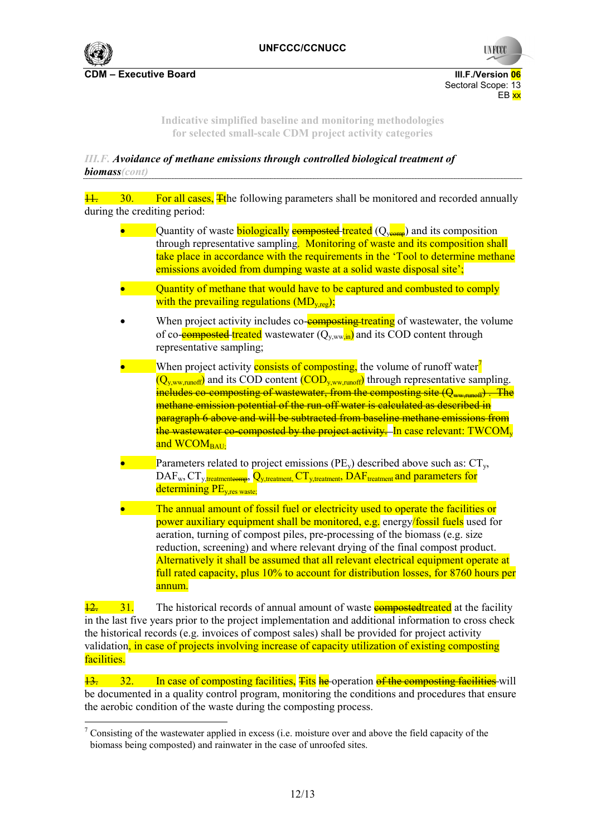

**UNFCC** 

**CDM – Executive Board III.F./Version 06** Sectoral Scope: 13<br>EB xx en de la provincia de la provincia de la provincia de la provincia de la provincia de la provincia de la provi

> **Indicative simplified baseline and monitoring methodologies for selected small-scale CDM project activity categories**

*III.F. Avoidance of methane emissions through controlled biological treatment of biomass(cont)* 

 $\frac{11}{11}$  30. For all cases. The following parameters shall be monitored and recorded annually during the crediting period:

- Quantity of waste **biologically example is example to composition** Quantity of waster through representative sampling. Monitoring of waste and its composition shall take place in accordance with the requirements in the 'Tool to determine methane emissions avoided from dumping waste at a solid waste disposal site';
- Quantity of methane that would have to be captured and combusted to comply with the prevailing regulations  $(MD_{y,reg})$ ;
- When project activity includes co-**composting treating** of wastewater, the volume of co-**composted** treated wastewater  $(Q_{v,ww})$  and its COD content through representative sampling;
- When project activity **consists of composting** the volume of runoff water<sup>7</sup>  $(Q_{v,ww,runoff})$  and its COD content  $(COD_{v,ww,runoff})$  through representative sampling. includes co-composting of wastewater, from the composting site  $(\mathcal{Q}_{uvw,mu})$ . The methane emission potential of the run-off water is calculated as described in paragraph 6 above and will be subtracted from baseline methane emissions from the wastewater co-composted by the project activity. In case relevant: TWCOM<sub>y</sub> and WCOM<sub>BAU:</sub>
- Parameters related to project emissions (PE<sub>y</sub>) described above such as:  $CT_v$ ,  $\text{DAF}_w$ ,  $\text{CT}_v$ , treatmenteomp,  $\overline{Q}_{v,\text{treatment}}$ ,  $\text{CT}_v$ , treatment,  $\overline{\text{DAF}}$  treatment and parameters for determining PE<sub>v res waste</sub>.
- The annual amount of fossil fuel or electricity used to operate the facilities or power auxiliary equipment shall be monitored, e.g. energy/fossil fuels used for aeration, turning of compost piles, pre-processing of the biomass (e.g. size reduction, screening) and where relevant drying of the final compost product. Alternatively it shall be assumed that all relevant electrical equipment operate at full rated capacity, plus 10% to account for distribution losses, for 8760 hours per annum.

 $\frac{12}{12}$  31. The historical records of annual amount of waste **composted treated** at the facility in the last five years prior to the project implementation and additional information to cross check the historical records (e.g. invoices of compost sales) shall be provided for project activity validation, in case of projects involving increase of capacity utilization of existing composting facilities.

13. 32. In case of composting facilities, Fits he operation of the composting facilities will be documented in a quality control program, monitoring the conditions and procedures that ensure the aerobic condition of the waste during the composting process.

<sup>&</sup>lt;sup>7</sup> Consisting of the wastewater applied in excess (i.e. moisture over and above the field capacity of the biomass being composted) and rainwater in the case of unroofed sites.